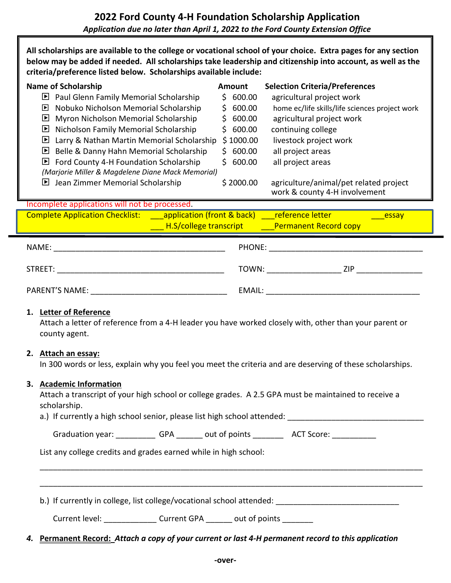**All scholarships are available to the college or vocational school of your choice. Extra pages for any section below may be added if needed. All scholarships take leadership and citizenship into account, as well as the criteria/preference listed below. Scholarships available include:**

| <b>Name of Scholarship</b>                                  | <b>Amount</b> | <b>Selection Criteria/Preferences</b>                                   |
|-------------------------------------------------------------|---------------|-------------------------------------------------------------------------|
| $\Box$ Paul Glenn Family Memorial Scholarship               | 600.00<br>S.  | agricultural project work                                               |
| Nobuko Nicholson Memorial Scholarship<br>ÞI                 | 600.00<br>S.  | home ec/life skills/life sciences project work                          |
| $\blacksquare$ Myron Nicholson Memorial Scholarship         | 600.00<br>S.  | agricultural project work                                               |
| $\blacksquare$ Nicholson Family Memorial Scholarship        | 600.00<br>S.  | continuing college                                                      |
| $\triangleright$ Larry & Nathan Martin Memorial Scholarship | \$1000.00     | livestock project work                                                  |
| $\triangleright$ Belle & Danny Hahn Memorial Scholarship    | 600.00<br>S.  | all project areas                                                       |
| $\blacksquare$ Ford County 4-H Foundation Scholarship       | 600.00        | all project areas                                                       |
| (Marjorie Miller & Magdelene Diane Mack Memorial)           |               |                                                                         |
| $\blacksquare$ Jean Zimmer Memorial Scholarship             | \$2000.00     | agriculture/animal/pet related project<br>work & county 4-H involvement |

Incomplete applications will not be processed. Complete Application Checklist: \_\_\_\_application (front & back) \_\_\_\_reference letter \_\_\_\_\_\_\_\_\_\_\_\_\_\_essay H.S/college transcript **Permanent Record copy** 

| NAME:                 | PHONE: |     |
|-----------------------|--------|-----|
| STREET:               | TOWN:  | ZIP |
| <b>PARENT'S NAME:</b> | EMAIL: |     |

## **1. Letter of Reference**

Attach a letter of reference from a 4-H leader you have worked closely with, other than your parent or county agent.

## **2. Attach an essay:**

In 300 words or less, explain why you feel you meet the criteria and are deserving of these scholarships.

## **3. Academic Information**

| Attach a transcript of your high school or college grades. A 2.5 GPA must be maintained to receive a |  |
|------------------------------------------------------------------------------------------------------|--|
| scholarship.                                                                                         |  |

a.) If currently a high school senior, please list high school attended:

Graduation year: \_\_\_\_\_\_\_\_\_\_\_ GPA \_\_\_\_\_\_ out of points \_\_\_\_\_\_\_\_\_ ACT Score: \_\_\_\_\_\_

List any college credits and grades earned while in high school:

|  | b.) If currently in college, list college/vocational school attended: |  |
|--|-----------------------------------------------------------------------|--|
|  |                                                                       |  |

\_\_\_\_\_\_\_\_\_\_\_\_\_\_\_\_\_\_\_\_\_\_\_\_\_\_\_\_\_\_\_\_\_\_\_\_\_\_\_\_\_\_\_\_\_\_\_\_\_\_\_\_\_\_\_\_\_\_\_\_\_\_\_\_\_\_\_\_\_\_\_\_\_\_\_\_\_\_\_\_\_\_\_\_\_\_\_

\_\_\_\_\_\_\_\_\_\_\_\_\_\_\_\_\_\_\_\_\_\_\_\_\_\_\_\_\_\_\_\_\_\_\_\_\_\_\_\_\_\_\_\_\_\_\_\_\_\_\_\_\_\_\_\_\_\_\_\_\_\_\_\_\_\_\_\_\_\_\_\_\_\_\_\_\_\_\_\_\_\_\_\_\_\_\_

Current level: \_\_\_\_\_\_\_\_\_\_\_\_\_\_\_\_ Current GPA \_\_\_\_\_\_\_ out of points \_\_\_\_\_\_\_\_

*4.* **Permanent Record:** *Attach a copy of your current or last 4-H permanent record to this application*